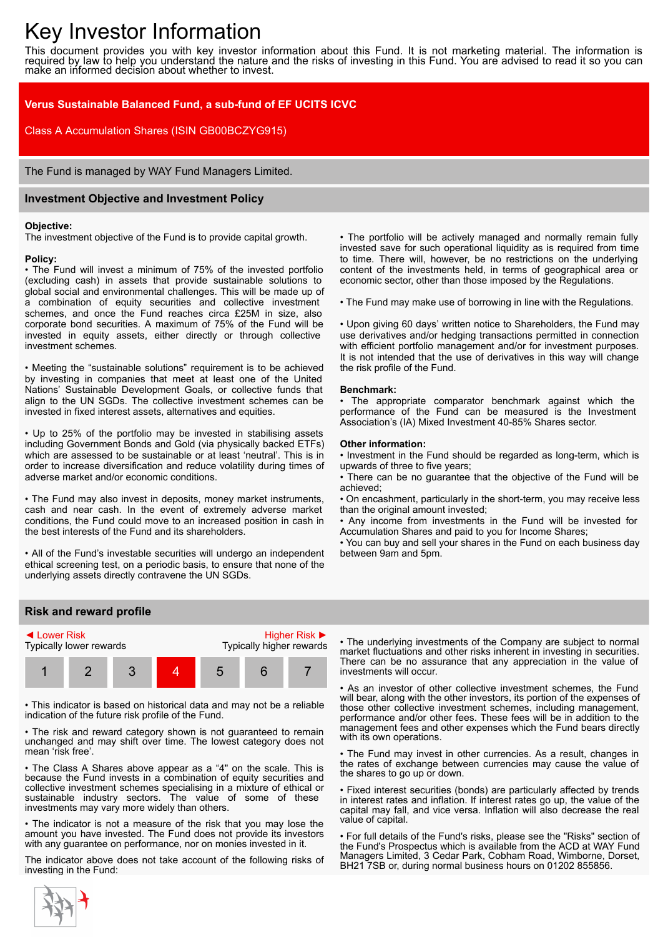# Key Investor Information

This document provides you with key investor information about this Fund. It is not marketing material. The information is required by law to help you understand the nature and the risks of investing in this Fund. You are advised to read it so you can make an informed decision about whether to invest.

# **Verus Sustainable Balanced Fund, a sub-fund of EF UCITS ICVC**

Class A Accumulation Shares (ISIN GB00BCZYG915)

The Fund is managed by WAY Fund Managers Limited.

## **Investment Objective and Investment Policy**

## **Objective:**

The investment objective of the Fund is to provide capital growth.

## **Policy:**

• The Fund will invest a minimum of 75% of the invested portfolio (excluding cash) in assets that provide sustainable solutions to global social and environmental challenges. This will be made up of a combination of equity securities and collective investment schemes, and once the Fund reaches circa £25M in size, also corporate bond securities. A maximum of 75% of the Fund will be invested in equity assets, either directly or through collective investment schemes.

• Meeting the "sustainable solutions" requirement is to be achieved by investing in companies that meet at least one of the United Nations' Sustainable Development Goals, or collective funds that align to the UN SGDs. The collective investment schemes can be invested in fixed interest assets, alternatives and equities.

• Up to 25% of the portfolio may be invested in stabilising assets including Government Bonds and Gold (via physically backed ETFs) which are assessed to be sustainable or at least 'neutral'. This is in order to increase diversification and reduce volatility during times of adverse market and/or economic conditions.

• The Fund may also invest in deposits, money market instruments, cash and near cash. In the event of extremely adverse market conditions, the Fund could move to an increased position in cash in the best interests of the Fund and its shareholders.

• All of the Fund's investable securities will undergo an independent ethical screening test, on a periodic basis, to ensure that none of the underlying assets directly contravene the UN SGDs.

• The portfolio will be actively managed and normally remain fully invested save for such operational liquidity as is required from time to time. There will, however, be no restrictions on the underlying content of the investments held, in terms of geographical area or economic sector, other than those imposed by the Regulations.

• The Fund may make use of borrowing in line with the Regulations.

• Upon giving 60 days' written notice to Shareholders, the Fund may use derivatives and/or hedging transactions permitted in connection with efficient portfolio management and/or for investment purposes. It is not intended that the use of derivatives in this way will change the risk profile of the Fund.

#### **Benchmark:**

• The appropriate comparator benchmark against which the performance of the Fund can be measured is the Investment Association's (IA) Mixed Investment 40-85% Shares sector.

#### **Other information:**

• Investment in the Fund should be regarded as long-term, which is upwards of three to five years;

• There can be no guarantee that the objective of the Fund will be achieved;

• On encashment, particularly in the short-term, you may receive less than the original amount invested;

• Any income from investments in the Fund will be invested for Accumulation Shares and paid to you for Income Shares;

• You can buy and sell your shares in the Fund on each business day between 9am and 5pm.

## **Risk and reward profile**



• This indicator is based on historical data and may not be a reliable indication of the future risk profile of the Fund.

• The risk and reward category shown is not guaranteed to remain unchanged and may shift over time. The lowest category does not mean 'risk free'.

• The Class A Shares above appear as a "4" on the scale. This is because the Fund invests in a combination of equity securities and collective investment schemes specialising in a mixture of ethical or sustainable industry sectors. The value of some of these investments may vary more widely than others.

• The indicator is not a measure of the risk that you may lose the amount you have invested. The Fund does not provide its investors with any guarantee on performance, nor on monies invested in it.

The indicator above does not take account of the following risks of investing in the Fund:

• The underlying investments of the Company are subject to normal market fluctuations and other risks inherent in investing in securities. There can be no assurance that any appreciation in the value of investments will occur.

• As an investor of other collective investment schemes, the Fund will bear, along with the other investors, its portion of the expenses of those other collective investment schemes, including management, performance and/or other fees. These fees will be in addition to the management fees and other expenses which the Fund bears directly with its own operations.

• The Fund may invest in other currencies. As a result, changes in the rates of exchange between currencies may cause the value of the shares to go up or down.

• Fixed interest securities (bonds) are particularly affected by trends in interest rates and inflation. If interest rates go up, the value of the capital may fall, and vice versa. Inflation will also decrease the real value of capital.

• For full details of the Fund's risks, please see the "Risks" section of the Fund's Prospectus which is available from the ACD at WAY Fund Managers Limited, 3 Cedar Park, Cobham Road, Wimborne, Dorset, BH21 7SB or, during normal business hours on 01202 855856.